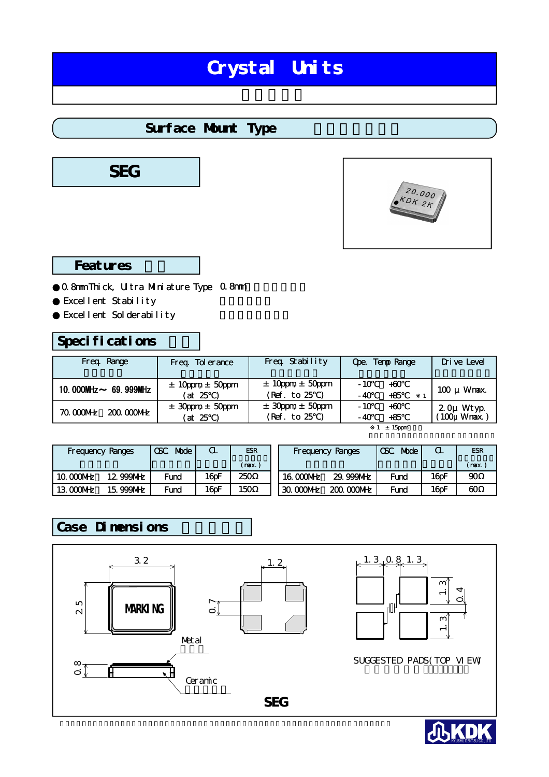# Crystal Units

### Surface Munt Type





### Features

0.8mm Thick, Ultra Mulniature Type 0.8mm Excellent Stability Excellent Solderability

### Specifications

| Freq Range                 | Freq Tolerance                      | Freq Stability                            | Ope. Temp Range                  | Drive Level                       |
|----------------------------|-------------------------------------|-------------------------------------------|----------------------------------|-----------------------------------|
| 10.000MHz $\sim$ 69.999MHz | $\pm$ 10 ppm $\pm$ 50 ppm<br>(at 25 | $\pm$ 10 ppm $\pm$ 50 ppm<br>(Ref. to 25) | $-10$<br>$+60$<br>$+85$<br>$-40$ | $100 \mu$ Wnax.                   |
| 70 000MHz<br>$20000$ WHz   | $\pm$ 30pm $\pm$ 50pm<br>(at 25     | $\pm$ 30pm $\pm$ 50pm<br>(Ref. to 25      | $+60$<br>$-10$<br>$+85$<br>- 40  | $20\mu$ Wtyp<br>( $100\mu$ Wrax.) |
|                            |                                     |                                           | $1 \pm 15$ ppm                   |                                   |

| <b>Frequency Ranges</b> |           | Mode<br><b>GSC</b> | Œ.    | <b>ESR</b> |           | <b>Frequency Ranges</b> | <b>CSC</b><br>Mode | $\alpha$ | <b>ESR</b> |
|-------------------------|-----------|--------------------|-------|------------|-----------|-------------------------|--------------------|----------|------------|
|                         |           |                    |       | (nax)      |           |                         |                    |          | (max.      |
| 10 000MHz               | 12 999MHz | Fund               | 16pF  | 250        | 16 000MHz | 29.999MHz               | Fund               | 16pF     | $\alpha$   |
| 13 000MHz               | 15.999MHz | Fund               | 16 pF | 150        | 30000     | $20000$ M $E$           | Fund               | 16pF     | $\infty$   |

### Case Dimensions





SUGGESTED PADS(TOP VIEW) パッド案内(トップビュー

**SEG**